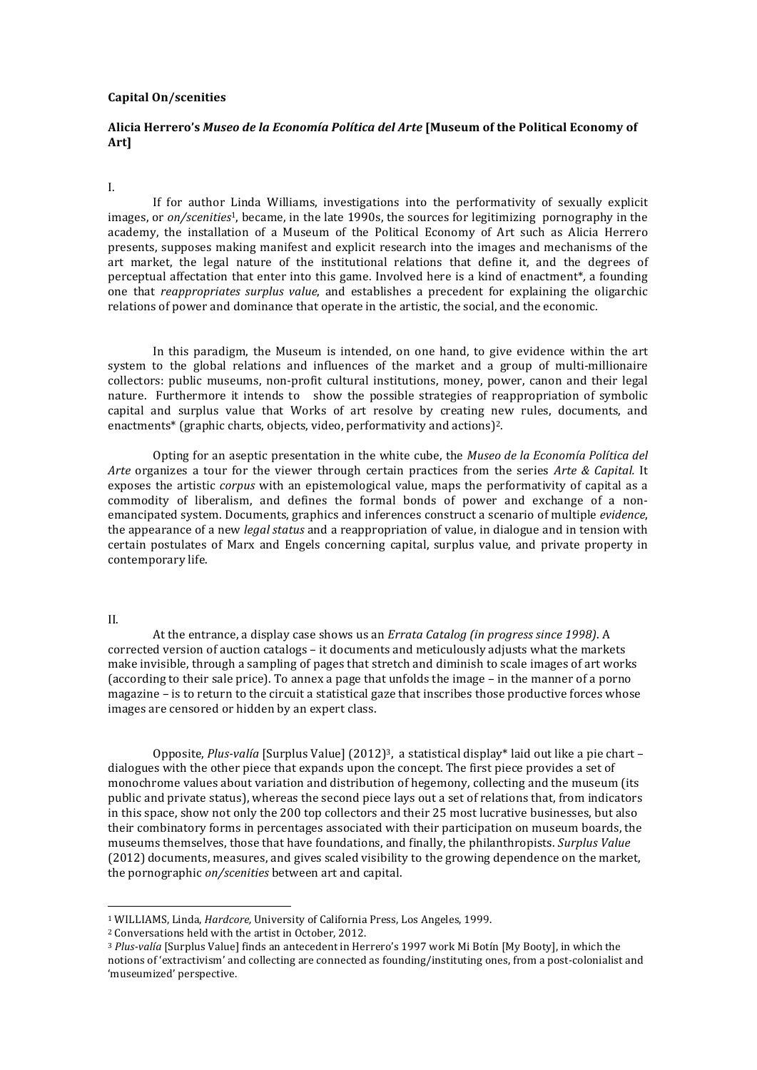## **Capital On/scenities**

# Alicia Herrero's Museo de la Economía Política del Arte [Museum of the Political Economy of **Art]**

# I.

If for author Linda Williams, investigations into the performativity of sexually explicit images, or *on/scenities*<sup>1</sup>, became, in the late 1990s, the sources for legitimizing pornography in the academy, the installation of a Museum of the Political Economy of Art such as Alicia Herrero presents, supposes making manifest and explicit research into the images and mechanisms of the art market, the legal nature of the institutional relations that define it, and the degrees of perceptual affectation that enter into this game. Involved here is a kind of enactment<sup>\*</sup>, a founding one that *reappropriates surplus value*, and establishes a precedent for explaining the oligarchic relations of power and dominance that operate in the artistic, the social, and the economic.

In this paradigm, the Museum is intended, on one hand, to give evidence within the art system to the global relations and influences of the market and a group of multi-millionaire collectors: public museums, non-profit cultural institutions, money, power, canon and their legal nature. Furthermore it intends to show the possible strategies of reappropriation of symbolic capital and surplus value that Works of art resolve by creating new rules, documents, and enactments<sup>\*</sup> (graphic charts, objects, video, performativity and actions)<sup>2</sup>.

Opting for an aseptic presentation in the white cube, the *Museo de la Economía Política del Arte* organizes a tour for the viewer through certain practices from the series *Arte & Capital.* It exposes the artistic *corpus* with an epistemological value, maps the performativity of capital as a commodity of liberalism, and defines the formal bonds of power and exchange of a nonemancipated system. Documents, graphics and inferences construct a scenario of multiple *evidence*, the appearance of a new *legal status* and a reappropriation of value, in dialogue and in tension with certain postulates of Marx and Engels concerning capital, surplus value, and private property in contemporary life.

### II.

At the entrance, a display case shows us an *Errata Catalog (in progress since 1998)*. A corrected version of auction catalogs – it documents and meticulously adjusts what the markets make invisible, through a sampling of pages that stretch and diminish to scale images of art works (according to their sale price). To annex a page that unfolds the image  $-$  in the manner of a porno magazine - is to return to the circuit a statistical gaze that inscribes those productive forces whose images are censored or hidden by an expert class.

Opposite, *Plus-valía* [Surplus Value] (2012)<sup>3</sup>, a statistical display\* laid out like a pie chart – dialogues with the other piece that expands upon the concept. The first piece provides a set of monochrome values about variation and distribution of hegemony, collecting and the museum (its public and private status), whereas the second piece lays out a set of relations that, from indicators in this space, show not only the 200 top collectors and their 25 most lucrative businesses, but also their combinatory forms in percentages associated with their participation on museum boards, the museums themselves, those that have foundations, and finally, the philanthropists. *Surplus Value* (2012) documents, measures, and gives scaled visibility to the growing dependence on the market, the pornographic *on/scenities* between art and capital.

 

<sup>&</sup>lt;sup>1</sup> WILLIAMS, Linda, *Hardcore*, University of California Press, Los Angeles, 1999.

<sup>&</sup>lt;sup>2</sup> Conversations held with the artist in October, 2012.

<sup>&</sup>lt;sup>3</sup> Plus-valía [Surplus Value] finds an antecedent in Herrero's 1997 work Mi Botín [My Booty], in which the notions of 'extractivism' and collecting are connected as founding/instituting ones, from a post-colonialist and 'museumized' perspective.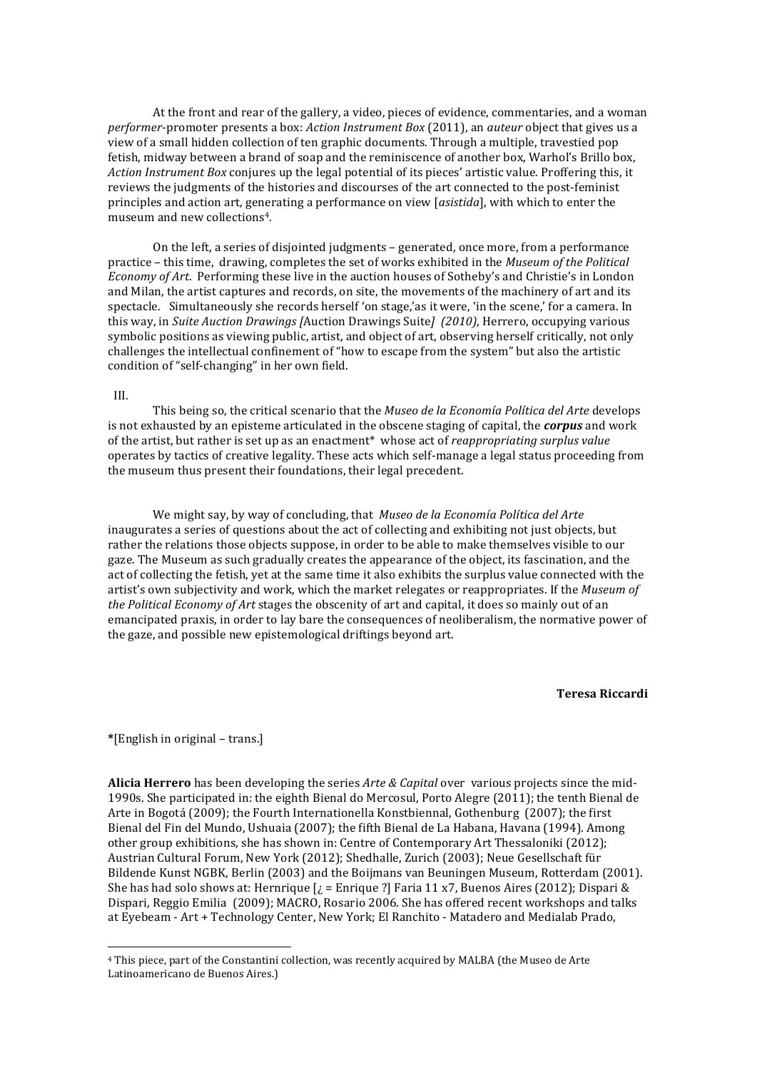At the front and rear of the gallery, a video, pieces of evidence, commentaries, and a woman *performer*-promoter presents a box: *Action Instrument Box* (2011), an *auteur* object that gives us a view of a small hidden collection of ten graphic documents. Through a multiple, travestied pop fetish, midway between a brand of soap and the reminiscence of another box. Warhol's Brillo box, *Action Instrument Box* conjures up the legal potential of its pieces' artistic value. Proffering this, it reviews the judgments of the histories and discourses of the art connected to the post-feminist principles and action art, generating a performance on view [asistida], with which to enter the museum and new collections<sup>4</sup>.

On the left, a series of disjointed judgments - generated, once more, from a performance practice – this time, drawing, completes the set of works exhibited in the *Museum of the Political Economy of Art.* Performing these live in the auction houses of Sotheby's and Christie's in London and Milan, the artist captures and records, on site, the movements of the machinery of art and its spectacle. Simultaneously she records herself 'on stage,'as it were, 'in the scene,' for a camera. In this way, in *Suite Auction Drawings* [Auction Drawings Suite] (2010), Herrero, occupying various symbolic positions as viewing public, artist, and object of art, observing herself critically, not only challenges the intellectual confinement of "how to escape from the system" but also the artistic condition of "self-changing" in her own field.

## III.

This being so, the critical scenario that the *Museo de la Economía Política del Arte* develops is not exhausted by an episteme articulated in the obscene staging of capital, the **corpus** and work of the artist, but rather is set up as an enactment<sup>\*</sup> whose act of *reappropriating surplus value* operates by tactics of creative legality. These acts which self-manage a legal status proceeding from the museum thus present their foundations, their legal precedent.

We might say, by way of concluding, that Museo de la Economía Política del Arte inaugurates a series of questions about the act of collecting and exhibiting not just objects, but rather the relations those objects suppose, in order to be able to make themselves visible to our gaze. The Museum as such gradually creates the appearance of the object, its fascination, and the act of collecting the fetish, yet at the same time it also exhibits the surplus value connected with the artist's own subjectivity and work, which the market relegates or reappropriates. If the Museum of *the Political Economy of Art* stages the obscenity of art and capital, it does so mainly out of an emancipated praxis, in order to lay bare the consequences of neoliberalism, the normative power of the gaze, and possible new epistemological driftings beyond art.

#### **Teresa Riccardi**

**\***[English in original – trans.]

 

**Alicia Herrero** has been developing the series *Arte & Capital* over various projects since the mid-1990s. She participated in: the eighth Bienal do Mercosul, Porto Alegre (2011); the tenth Bienal de Arte in Bogotá (2009); the Fourth Internationella Konstbiennal, Gothenburg (2007); the first Bienal del Fin del Mundo, Ushuaia (2007); the fifth Bienal de La Habana, Havana (1994). Among other group exhibitions, she has shown in: Centre of Contemporary Art Thessaloniki  $(2012)$ ; Austrian Cultural Forum, New York (2012); Shedhalle, Zurich (2003); Neue Gesellschaft für Bildende Kunst NGBK, Berlin (2003) and the Boijmans van Beuningen Museum, Rotterdam (2001). She has had solo shows at: Hernrique  $j =$  Enrique ?] Faria 11 x7, Buenos Aires (2012); Dispari & Dispari, Reggio Emilia (2009); MACRO, Rosario 2006. She has offered recent workshops and talks at Eyebeam - Art + Technology Center, New York: El Ranchito - Matadero and Medialab Prado,

<sup>&</sup>lt;sup>4</sup> This piece, part of the Constantini collection, was recently acquired by MALBA (the Museo de Arte Latinoamericano de Buenos Aires.)